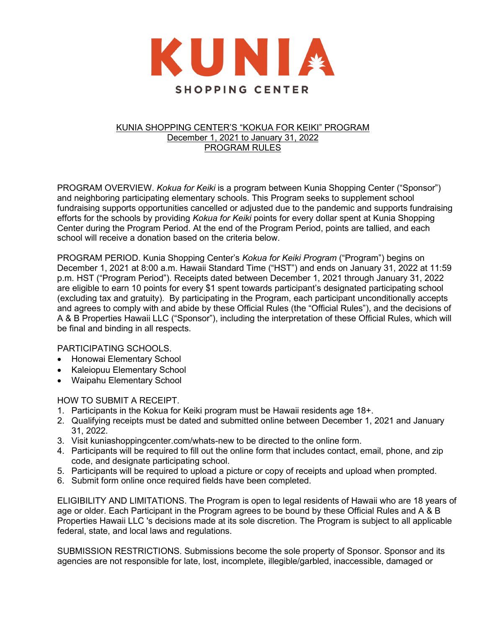

# KUNIA SHOPPING CENTER'S "KOKUA FOR KEIKI" PROGRAM December 1, 2021 to January 31, 2022 PROGRAM RULES

PROGRAM OVERVIEW. *Kokua for Keiki* is a program between Kunia Shopping Center ("Sponsor") and neighboring participating elementary schools. This Program seeks to supplement school fundraising supports opportunities cancelled or adjusted due to the pandemic and supports fundraising efforts for the schools by providing *Kokua for Keiki* points for every dollar spent at Kunia Shopping Center during the Program Period. At the end of the Program Period, points are tallied, and each school will receive a donation based on the criteria below.

PROGRAM PERIOD. Kunia Shopping Center's *Kokua for Keiki Program* ("Program") begins on December 1, 2021 at 8:00 a.m. Hawaii Standard Time ("HST") and ends on January 31, 2022 at 11:59 p.m. HST ("Program Period"). Receipts dated between December 1, 2021 through January 31, 2022 are eligible to earn 10 points for every \$1 spent towards participant's designated participating school (excluding tax and gratuity). By participating in the Program, each participant unconditionally accepts and agrees to comply with and abide by these Official Rules (the "Official Rules"), and the decisions of A & B Properties Hawaii LLC ("Sponsor"), including the interpretation of these Official Rules, which will be final and binding in all respects.

# PARTICIPATING SCHOOLS.

- Honowai Elementary School
- Kaleiopuu Elementary School
- Waipahu Elementary School

# HOW TO SUBMIT A RECEIPT.

- 1. Participants in the Kokua for Keiki program must be Hawaii residents age 18+.
- 2. Qualifying receipts must be dated and submitted online between December 1, 2021 and January 31, 2022.
- 3. Visit kuniashoppingcenter.com/whats-new to be directed to the online form.
- 4. Participants will be required to fill out the online form that includes contact, email, phone, and zip code, and designate participating school.
- 5. Participants will be required to upload a picture or copy of receipts and upload when prompted.
- 6. Submit form online once required fields have been completed.

ELIGIBILITY AND LIMITATIONS. The Program is open to legal residents of Hawaii who are 18 years of age or older. Each Participant in the Program agrees to be bound by these Official Rules and A & B Properties Hawaii LLC 's decisions made at its sole discretion. The Program is subject to all applicable federal, state, and local laws and regulations.

SUBMISSION RESTRICTIONS. Submissions become the sole property of Sponsor. Sponsor and its agencies are not responsible for late, lost, incomplete, illegible/garbled, inaccessible, damaged or